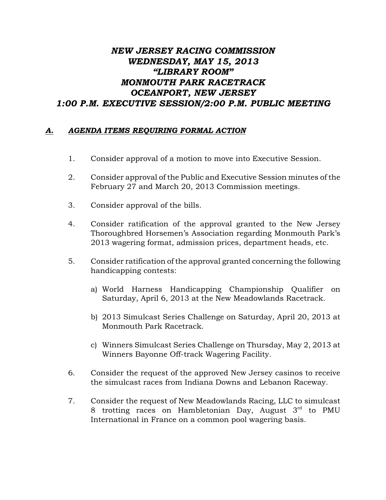## *NEW JERSEY RACING COMMISSION WEDNESDAY, MAY 15, 2013 "LIBRARY ROOM" MONMOUTH PARK RACETRACK OCEANPORT, NEW JERSEY 1:00 P.M. EXECUTIVE SESSION/2:00 P.M. PUBLIC MEETING*

## *A. AGENDA ITEMS REQUIRING FORMAL ACTION*

- 1. Consider approval of a motion to move into Executive Session.
- 2. Consider approval of the Public and Executive Session minutes of the February 27 and March 20, 2013 Commission meetings.
- 3. Consider approval of the bills.
- 4. Consider ratification of the approval granted to the New Jersey Thoroughbred Horsemen's Association regarding Monmouth Park's 2013 wagering format, admission prices, department heads, etc.
- 5. Consider ratification of the approval granted concerning the following handicapping contests:
	- a) World Harness Handicapping Championship Qualifier on Saturday, April 6, 2013 at the New Meadowlands Racetrack.
	- b) 2013 Simulcast Series Challenge on Saturday, April 20, 2013 at Monmouth Park Racetrack.
	- c) Winners Simulcast Series Challenge on Thursday, May 2, 2013 at Winners Bayonne Off-track Wagering Facility.
- 6. Consider the request of the approved New Jersey casinos to receive the simulcast races from Indiana Downs and Lebanon Raceway.
- 7. Consider the request of New Meadowlands Racing, LLC to simulcast 8 trotting races on Hambletonian Day, August  $3^{\text{rd}}$  to PMU International in France on a common pool wagering basis.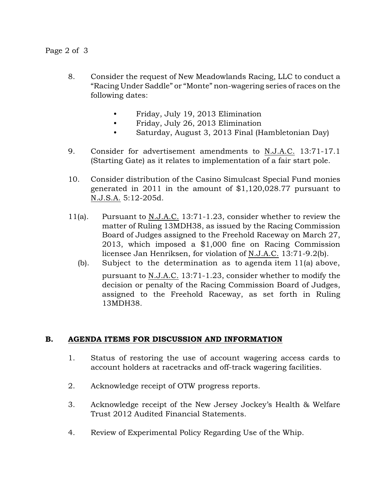- 8. Consider the request of New Meadowlands Racing, LLC to conduct a "Racing Under Saddle" or "Monte" non-wagering series of races on the following dates:
	- Friday, July 19, 2013 Elimination
	- Friday, July 26, 2013 Elimination
	- Saturday, August 3, 2013 Final (Hambletonian Day)
- 9. Consider for advertisement amendments to N.J.A.C. 13:71-17.1 (Starting Gate) as it relates to implementation of a fair start pole.
- 10. Consider distribution of the Casino Simulcast Special Fund monies generated in 2011 in the amount of \$1,120,028.77 pursuant to N.J.S.A. 5:12-205d.
- 11(a). Pursuant to N.J.A.C. 13:71-1.23, consider whether to review the matter of Ruling 13MDH38, as issued by the Racing Commission Board of Judges assigned to the Freehold Raceway on March 27, 2013, which imposed a \$1,000 fine on Racing Commission licensee Jan Henriksen, for violation of N.J.A.C. 13:71-9.2(b).
	- (b). Subject to the determination as to agenda item 11(a) above, pursuant to N.J.A.C. 13:71-1.23, consider whether to modify the decision or penalty of the Racing Commission Board of Judges, assigned to the Freehold Raceway, as set forth in Ruling 13MDH38.

## B. AGENDA ITEMS FOR DISCUSSION AND INFORMATION

- 1. Status of restoring the use of account wagering access cards to account holders at racetracks and off-track wagering facilities.
- 2. Acknowledge receipt of OTW progress reports.
- 3. Acknowledge receipt of the New Jersey Jockey's Health & Welfare Trust 2012 Audited Financial Statements.
- 4. Review of Experimental Policy Regarding Use of the Whip.